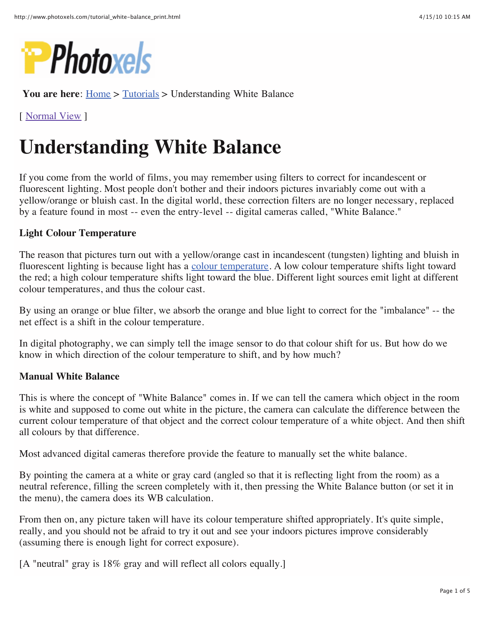

**You are here:** Home > Tutorials > Understanding White Balance

[ Normal View ]

# **Understanding White Balance**

If you come from the world of films, you may remember using filters to correct for incandescent or fluorescent lighting. Most people don't bother and their indoors pictures invariably come out with a yellow/orange or bluish cast. In the digital world, these correction filters are no longer necessary, replaced by a feature found in most -- even the entry-level -- digital cameras called, "White Balance."

#### **Light Colour Temperature**

The reason that pictures turn out with a yellow/orange cast in incandescent (tungsten) lighting and bluish in fluorescent lighting is because light has a colour temperature. A low colour temperature shifts light toward the red; a high colour temperature shifts light toward the blue. Different light sources emit light at different colour temperatures, and thus the colour cast.

By using an orange or blue filter, we absorb the orange and blue light to correct for the "imbalance" -- the net effect is a shift in the colour temperature.

In digital photography, we can simply tell the image sensor to do that colour shift for us. But how do we know in which direction of the colour temperature to shift, and by how much?

#### **Manual White Balance**

This is where the concept of "White Balance" comes in. If we can tell the camera which object in the room is white and supposed to come out white in the picture, the camera can calculate the difference between the current colour temperature of that object and the correct colour temperature of a white object. And then shift all colours by that difference.

Most advanced digital cameras therefore provide the feature to manually set the white balance.

By pointing the camera at a white or gray card (angled so that it is reflecting light from the room) as a neutral reference, filling the screen completely with it, then pressing the White Balance button (or set it in the menu), the camera does its WB calculation.

From then on, any picture taken will have its colour temperature shifted appropriately. It's quite simple, really, and you should not be afraid to try it out and see your indoors pictures improve considerably (assuming there is enough light for correct exposure).

[A "neutral" gray is 18% gray and will reflect all colors equally.]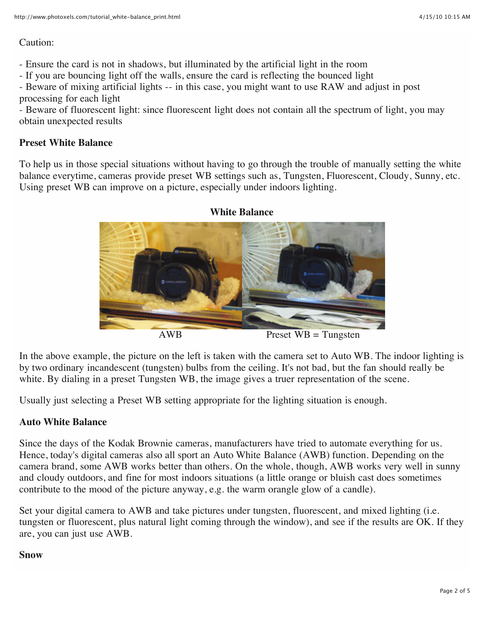#### Caution:

- Ensure the card is not in shadows, but illuminated by the artificial light in the room

- If you are bouncing light off the walls, ensure the card is reflecting the bounced light
- Beware of mixing artificial lights -- in this case, you might want to use RAW and adjust in post processing for each light

- Beware of fluorescent light: since fluorescent light does not contain all the spectrum of light, you may obtain unexpected results

## **Preset White Balance**

To help us in those special situations without having to go through the trouble of manually setting the white balance everytime, cameras provide preset WB settings such as, Tungsten, Fluorescent, Cloudy, Sunny, etc. Using preset WB can improve on a picture, especially under indoors lighting.



AWB Preset WB = Tungsten

In the above example, the picture on the left is taken with the camera set to Auto WB. The indoor lighting is by two ordinary incandescent (tungsten) bulbs from the ceiling. It's not bad, but the fan should really be white. By dialing in a preset Tungsten WB, the image gives a truer representation of the scene.

Usually just selecting a Preset WB setting appropriate for the lighting situation is enough.

# **Auto White Balance**

Since the days of the Kodak Brownie cameras, manufacturers have tried to automate everything for us. Hence, today's digital cameras also all sport an Auto White Balance (AWB) function. Depending on the camera brand, some AWB works better than others. On the whole, though, AWB works very well in sunny and cloudy outdoors, and fine for most indoors situations (a little orange or bluish cast does sometimes contribute to the mood of the picture anyway, e.g. the warm orangle glow of a candle).

Set your digital camera to AWB and take pictures under tungsten, fluorescent, and mixed lighting (i.e. tungsten or fluorescent, plus natural light coming through the window), and see if the results are OK. If they are, you can just use AWB.

# **Snow**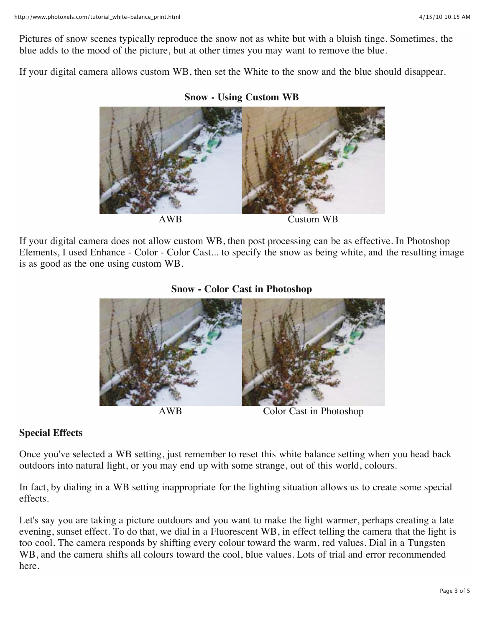Pictures of snow scenes typically reproduce the snow not as white but with a bluish tinge. Sometimes, the blue adds to the mood of the picture, but at other times you may want to remove the blue.

If your digital camera allows custom WB, then set the White to the snow and the blue should disappear.



**Snow - Using Custom WB**

If your digital camera does not allow custom WB, then post processing can be as effective. In Photoshop Elements, I used Enhance - Color - Color Cast... to specify the snow as being white, and the resulting image is as good as the one using custom WB.

#### **Snow - Color Cast in Photoshop**





AWB Color Cast in Photoshop

## **Special Effects**

Once you've selected a WB setting, just remember to reset this white balance setting when you head back outdoors into natural light, or you may end up with some strange, out of this world, colours.

In fact, by dialing in a WB setting inappropriate for the lighting situation allows us to create some special effects.

Let's say you are taking a picture outdoors and you want to make the light warmer, perhaps creating a late evening, sunset effect. To do that, we dial in a Fluorescent WB, in effect telling the camera that the light is too cool. The camera responds by shifting every colour toward the warm, red values. Dial in a Tungsten WB, and the camera shifts all colours toward the cool, blue values. Lots of trial and error recommended here.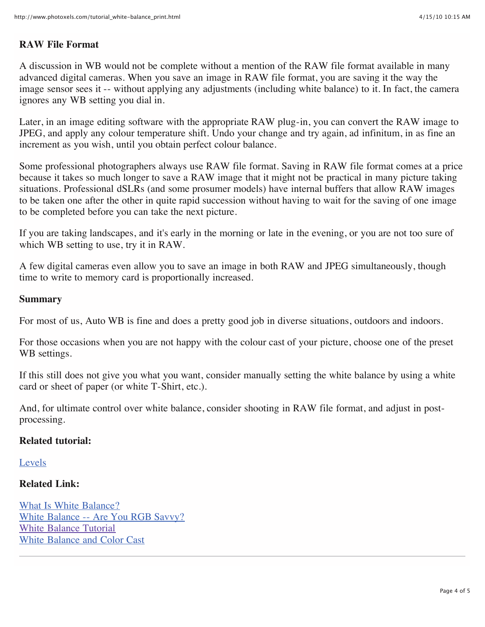## **RAW File Format**

A discussion in WB would not be complete without a mention of the RAW file format available in many advanced digital cameras. When you save an image in RAW file format, you are saving it the way the image sensor sees it -- without applying any adjustments (including white balance) to it. In fact, the camera ignores any WB setting you dial in.

Later, in an image editing software with the appropriate RAW plug-in, you can convert the RAW image to JPEG, and apply any colour temperature shift. Undo your change and try again, ad infinitum, in as fine an increment as you wish, until you obtain perfect colour balance.

Some professional photographers always use RAW file format. Saving in RAW file format comes at a price because it takes so much longer to save a RAW image that it might not be practical in many picture taking situations. Professional dSLRs (and some prosumer models) have internal buffers that allow RAW images to be taken one after the other in quite rapid succession without having to wait for the saving of one image to be completed before you can take the next picture.

If you are taking landscapes, and it's early in the morning or late in the evening, or you are not too sure of which WB setting to use, try it in RAW.

A few digital cameras even allow you to save an image in both RAW and JPEG simultaneously, though time to write to memory card is proportionally increased.

#### **Summary**

For most of us, Auto WB is fine and does a pretty good job in diverse situations, outdoors and indoors.

For those occasions when you are not happy with the colour cast of your picture, choose one of the preset WB settings.

If this still does not give you what you want, consider manually setting the white balance by using a white card or sheet of paper (or white T-Shirt, etc.).

And, for ultimate control over white balance, consider shooting in RAW file format, and adjust in postprocessing.

## **Related tutorial:**

Levels

#### **Related Link:**

What Is White Balance? White Balance -- Are You RGB Savvy? White Balance Tutorial White Balance and Color Cast